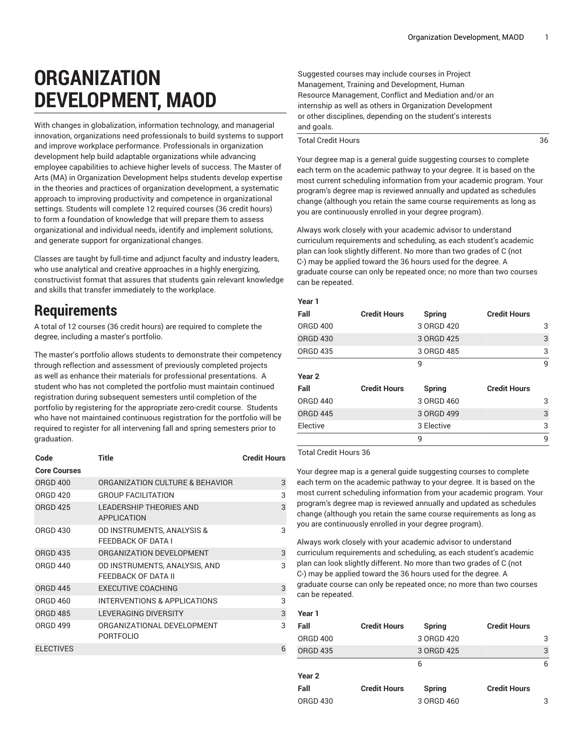## **ORGANIZATION DEVELOPMENT, MAOD**

With changes in globalization, information technology, and managerial innovation, organizations need professionals to build systems to support and improve workplace performance. Professionals in organization development help build adaptable organizations while advancing employee capabilities to achieve higher levels of success. The Master of Arts (MA) in Organization Development helps students develop expertise in the theories and practices of organization development, a systematic approach to improving productivity and competence in organizational settings. Students will complete 12 required courses (36 credit hours) to form a foundation of knowledge that will prepare them to assess organizational and individual needs, identify and implement solutions, and generate support for organizational changes.

Classes are taught by full-time and adjunct faculty and industry leaders, who use analytical and creative approaches in a highly energizing, constructivist format that assures that students gain relevant knowledge and skills that transfer immediately to the workplace.

## **Requirements**

A total of 12 courses (36 credit hours) are required to complete the degree, including a master's portfolio.

The master's portfolio allows students to demonstrate their competency through reflection and assessment of previously completed projects as well as enhance their materials for professional presentations. A student who has not completed the portfolio must maintain continued registration during subsequent semesters until completion of the portfolio by registering for the appropriate zero-credit course. Students who have not maintained continuous registration for the portfolio will be required to register for all intervening fall and spring semesters prior to graduation.

| Code                | Title                                                | <b>Credit Hours</b> |
|---------------------|------------------------------------------------------|---------------------|
| <b>Core Courses</b> |                                                      |                     |
| <b>ORGD 400</b>     | ORGANIZATION CULTURE & BEHAVIOR                      | 3                   |
| <b>ORGD 420</b>     | <b>GROUP FACILITATION</b>                            | 3                   |
| <b>ORGD 425</b>     | <b>LEADERSHIP THEORIES AND</b><br><b>APPLICATION</b> | 3                   |
| <b>ORGD 430</b>     | OD INSTRUMENTS, ANALYSIS &<br>FEEDBACK OF DATA I     | 3                   |
| <b>ORGD 435</b>     | ORGANIZATION DEVELOPMENT                             | 3                   |
| <b>ORGD 440</b>     | OD INSTRUMENTS, ANALYSIS, AND<br>FEEDBACK OF DATA II | 3                   |
| <b>ORGD 445</b>     | <b>EXECUTIVE COACHING</b>                            | 3                   |
| <b>ORGD 460</b>     | INTERVENTIONS & APPLICATIONS                         | 3                   |
| <b>ORGD 485</b>     | LEVERAGING DIVERSITY                                 | 3                   |
| <b>ORGD 499</b>     | ORGANIZATIONAL DEVELOPMENT<br><b>PORTFOLIO</b>       | 3                   |
| <b>ELECTIVES</b>    |                                                      | 6                   |

Suggested courses may include courses in Project Management, Training and Development, Human Resource Management, Conflict and Mediation and/or an internship as well as others in Organization Development or other disciplines, depending on the student's interests and goals.

Total Credit Hours 36

Your degree map is a general guide suggesting courses to complete each term on the academic pathway to your degree. It is based on the most current scheduling information from your academic program. Your program's degree map is reviewed annually and updated as schedules change (although you retain the same course requirements as long as you are continuously enrolled in your degree program).

Always work closely with your academic advisor to understand curriculum requirements and scheduling, as each student's academic plan can look slightly different. No more than two grades of C (not C-) may be applied toward the 36 hours used for the degree. A graduate course can only be repeated once; no more than two courses can be repeated.

## **Year 1**

| Fall              | <b>Credit Hours</b> | <b>Spring</b> | <b>Credit Hours</b> |   |
|-------------------|---------------------|---------------|---------------------|---|
| <b>ORGD 400</b>   |                     | 3 ORGD 420    |                     | 3 |
| <b>ORGD 430</b>   |                     | 3 ORGD 425    |                     | 3 |
| <b>ORGD 435</b>   |                     | 3 ORGD 485    |                     | 3 |
|                   |                     | 9             |                     | 9 |
| Year <sub>2</sub> |                     |               |                     |   |
| Fall              | <b>Credit Hours</b> | Spring        | <b>Credit Hours</b> |   |
| <b>ORGD 440</b>   |                     | 3 ORGD 460    |                     | 3 |
| <b>ORGD 445</b>   |                     | 3 ORGD 499    |                     | 3 |
|                   |                     |               |                     |   |
| Elective          |                     | 3 Elective    |                     | 3 |
|                   |                     | 9             |                     | 9 |

Total Credit Hours 36

Your degree map is a general guide suggesting courses to complete each term on the academic pathway to your degree. It is based on the most current scheduling information from your academic program. Your program's degree map is reviewed annually and updated as schedules change (although you retain the same course requirements as long as you are continuously enrolled in your degree program).

Always work closely with your academic advisor to understand curriculum requirements and scheduling, as each student's academic plan can look slightly different. No more than two grades of C (not C-) may be applied toward the 36 hours used for the degree. A graduate course can only be repeated once; no more than two courses can be repeated.

| Year 1          |                     |            |                     |   |
|-----------------|---------------------|------------|---------------------|---|
| Fall            | <b>Credit Hours</b> | Spring     | <b>Credit Hours</b> |   |
| <b>ORGD 400</b> |                     | 3 ORGD 420 |                     | 3 |
| <b>ORGD 435</b> |                     | 3 ORGD 425 |                     | 3 |
|                 |                     | 6          |                     | 6 |
| Year 2          |                     |            |                     |   |
| Fall            | <b>Credit Hours</b> | Spring     | <b>Credit Hours</b> |   |
| <b>ORGD 430</b> |                     | 3 ORGD 460 |                     | 3 |